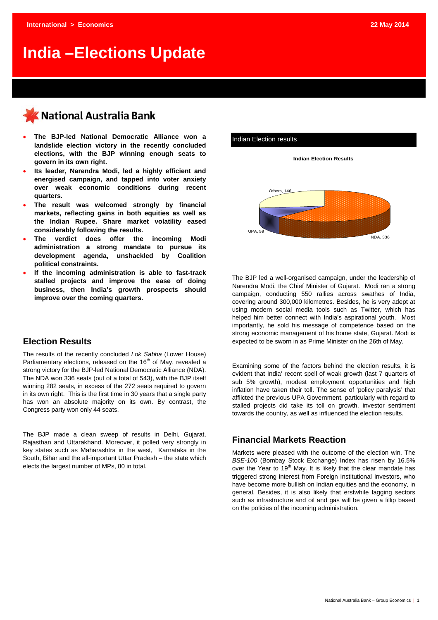# **India –Elections Update**

# KNational Australia Bank

- **The BJP-led National Democratic Alliance won a landslide election victory in the recently concluded elections, with the BJP winning enough seats to govern in its own right.**
- **Its leader, Narendra Modi, led a highly efficient and energised campaign, and tapped into voter anxiety over weak economic conditions during recent quarters.**
- **The result was welcomed strongly by financial markets, reflecting gains in both equities as well as the Indian Rupee. Share market volatility eased considerably following the results.**
- **The verdict does offer the incoming Modi administration a strong mandate to pursue its development agenda, unshackled by Coalition political constraints.**
- **If the incoming administration is able to fast-track stalled projects and improve the ease of doing business, then India's growth prospects should improve over the coming quarters.**

### **Election Results**

The results of the recently concluded *Lok Sabha* (Lower House) Parliamentary elections, released on the 16<sup>th</sup> of May, revealed a strong victory for the BJP-led National Democratic Alliance (NDA). The NDA won 336 seats (out of a total of 543), with the BJP itself winning 282 seats, in excess of the 272 seats required to govern in its own right. This is the first time in 30 years that a single party has won an absolute majority on its own. By contrast, the Congress party won only 44 seats.

The BJP made a clean sweep of results in Delhi, Gujarat, Rajasthan and Uttarakhand. Moreover, it polled very strongly in key states such as Maharashtra in the west, Karnataka in the South, Bihar and the all-important Uttar Pradesh – the state which elects the largest number of MPs, 80 in total.



The BJP led a well-organised campaign, under the leadership of Narendra Modi, the Chief Minister of Gujarat. Modi ran a strong campaign, conducting 550 rallies across swathes of India, covering around 300,000 kilometres. Besides, he is very adept at using modern social media tools such as Twitter, which has helped him better connect with India's aspirational youth. Most importantly, he sold his message of competence based on the strong economic management of his home state, Gujarat. Modi is expected to be sworn in as Prime Minister on the 26th of May.

Examining some of the factors behind the election results, it is evident that India' recent spell of weak growth (last 7 quarters of sub 5% growth), modest employment opportunities and high inflation have taken their toll. The sense of 'policy paralysis' that afflicted the previous UPA Government, particularly with regard to stalled projects did take its toll on growth, investor sentiment towards the country, as well as influenced the election results.

### **Financial Markets Reaction**

Markets were pleased with the outcome of the election win. The *BSE-100* (Bombay Stock Exchange) Index has risen by 16.5% over the Year to 19<sup>th</sup> May. It is likely that the clear mandate has triggered strong interest from Foreign Institutional Investors, who have become more bullish on Indian equities and the economy, in general. Besides, it is also likely that erstwhile lagging sectors such as infrastructure and oil and gas will be given a fillip based on the policies of the incoming administration.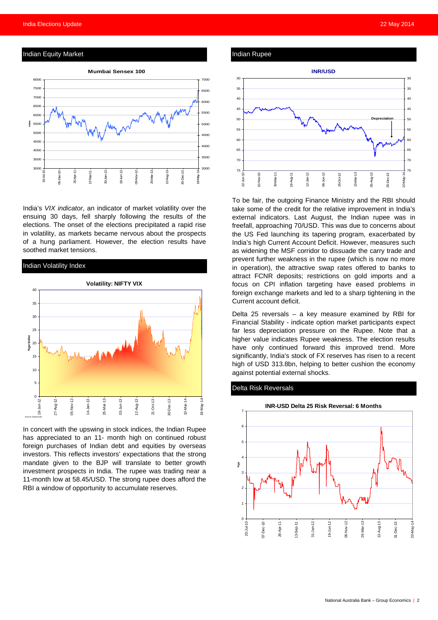

India's *VIX indicator*, an indicator of market volatility over the ensuing 30 days, fell sharply following the results of the elections. The onset of the elections precipitated a rapid rise in volatility, as markets became nervous about the prospects of a hung parliament. However, the election results have soothed market tensions.



In concert with the upswing in stock indices, the Indian Rupee has appreciated to an 11- month high on continued robust foreign purchases of Indian debt and equities by overseas investors. This reflects investors' expectations that the strong mandate given to the BJP will translate to better growth investment prospects in India. The rupee was trading near a 11-month low at 58.45/USD. The strong rupee does afford the RBI a window of opportunity to accumulate reserves.





To be fair, the outgoing Finance Ministry and the RBI should take some of the credit for the relative improvement in India's external indicators. Last August, the Indian rupee was in freefall, approaching 70/USD. This was due to concerns about the US Fed launching its tapering program, exacerbated by India's high Current Account Deficit. However, measures such as widening the MSF corridor to dissuade the carry trade and prevent further weakness in the rupee (which is now no more in operation), the attractive swap rates offered to banks to attract FCNR deposits; restrictions on gold imports and a focus on CPI inflation targeting have eased problems in foreign exchange markets and led to a sharp tightening in the Current account deficit.

Delta 25 reversals – a key measure examined by RBI for Financial Stability - indicate option market participants expect far less depreciation pressure on the Rupee. Note that a higher value indicates Rupee weakness. The election results have only continued forward this improved trend. More significantly, India's stock of FX reserves has risen to a recent high of USD 313.8bn, helping to better cushion the economy against potential external shocks.

#### Delta Risk Reversals

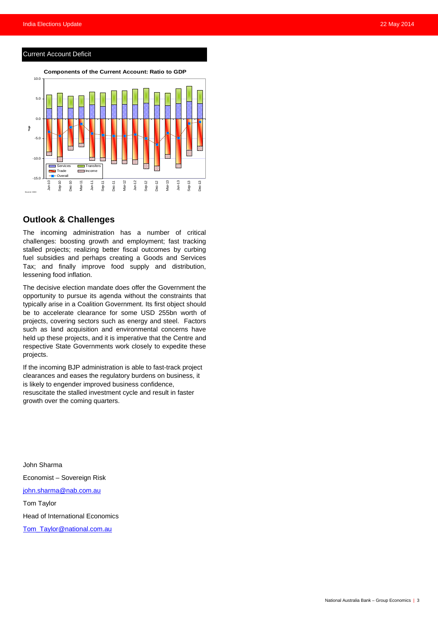#### Current Account Deficit



### **Outlook & Challenges**

The incoming administration has a number of critical challenges: boosting growth and employment; fast tracking stalled projects; realizing better fiscal outcomes by curbing fuel subsidies and perhaps creating a Goods and Services Tax; and finally improve food supply and distribution, lessening food inflation.

The decisive election mandate does offer the Government the opportunity to pursue its agenda without the constraints that typically arise in a Coalition Government. Its first object should be to accelerate clearance for some USD 255bn worth of projects, covering sectors such as energy and steel. Factors such as land acquisition and environmental concerns have held up these projects, and it is imperative that the Centre and respective State Governments work closely to expedite these projects.

If the incoming BJP administration is able to fast-track project clearances and eases the regulatory burdens on business, it is likely to engender improved business confidence, resuscitate the stalled investment cycle and result in faster growth over the coming quarters.

John Sharma Economist – Sovereign Risk [john.sharma@nab.com.au](mailto:john.sharma@nab.com.au) Tom Taylor Head of International Economics

[Tom\\_Taylor@national.com.au](mailto:Tom_Taylor@national.com.au)